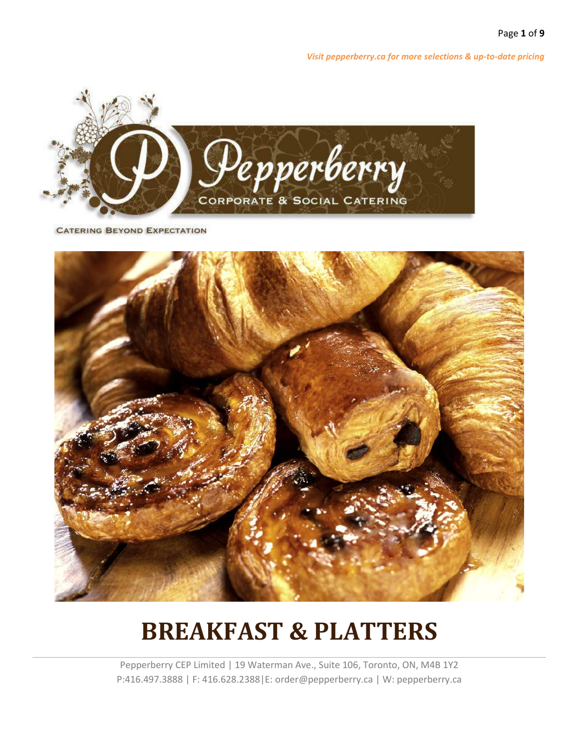

**CATERING BEYOND EXPECTATION** 



# **BREAKFAST & PLATTERS**

Pepperberry CEP Limited | 19 Waterman Ave., Suite 106, Toronto, ON, M4B 1Y2 P:416.497.3888 | F: 416.628.2388|E: order@pepperberry.ca | W: pepperberry.ca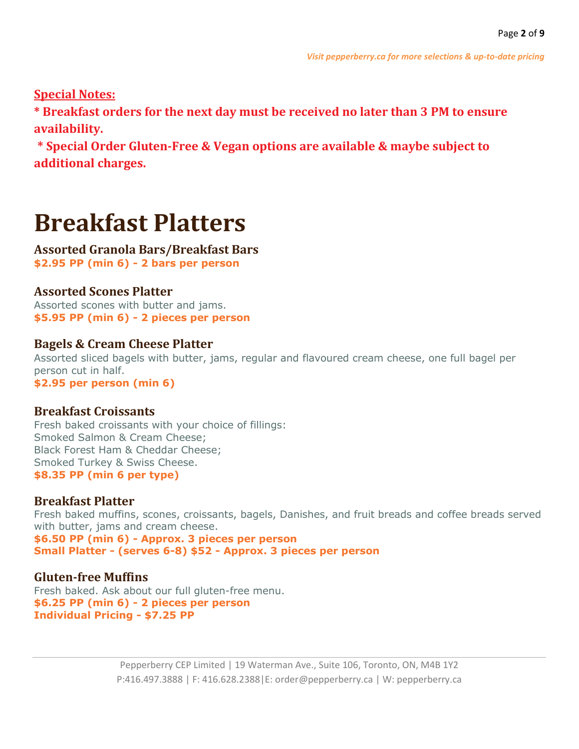**Special Notes:**

**\* Breakfast orders for the next day must be received no later than 3 PM to ensure availability.**

**\* Special Order Gluten-Free & Vegan options are available & maybe subject to additional charges.**

# **Breakfast Platters**

### **Assorted Granola Bars/Breakfast Bars \$2.95 PP (min 6) - 2 bars per person**

# **Assorted Scones Platter**

Assorted scones with butter and jams. **\$5.95 PP (min 6) - 2 pieces per person**

## **Bagels & Cream Cheese Platter**

Assorted sliced bagels with butter, jams, regular and flavoured cream cheese, one full bagel per person cut in half. **\$2.95 per person (min 6)**

### **Breakfast Croissants**

Fresh baked croissants with your choice of fillings: Smoked Salmon & Cream Cheese; Black Forest Ham & Cheddar Cheese; Smoked Turkey & Swiss Cheese. **\$8.35 PP (min 6 per type)**

# **Breakfast Platter**

Fresh baked muffins, scones, croissants, bagels, Danishes, and fruit breads and coffee breads served with butter, jams and cream cheese.

**\$6.50 PP (min 6) - Approx. 3 pieces per person Small Platter - (serves 6-8) \$52 - Approx. 3 pieces per person**

# **Gluten-free Muffins**

Fresh baked. Ask about our full gluten-free menu. **\$6.25 PP (min 6) - 2 pieces per person Individual Pricing - \$7.25 PP**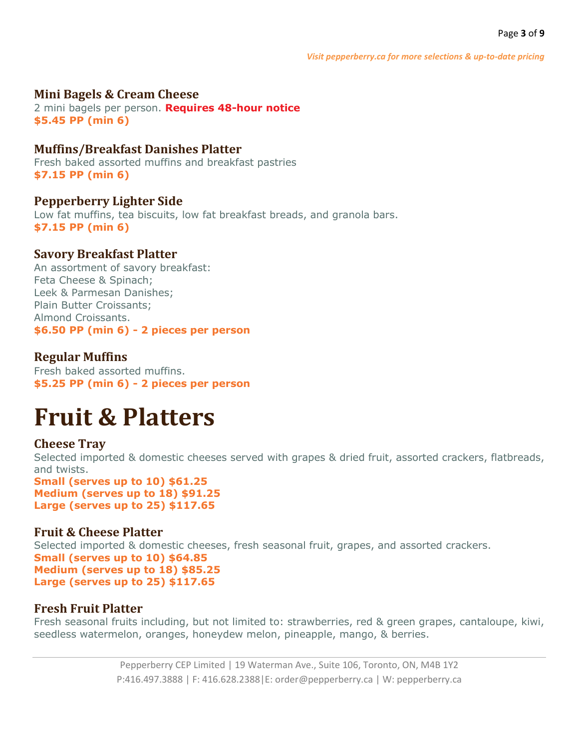### **Mini Bagels & Cream Cheese**

2 mini bagels per person. **Requires 48-hour notice \$5.45 PP (min 6)**

## **Muffins/Breakfast Danishes Platter**

Fresh baked assorted muffins and breakfast pastries **\$7.15 PP (min 6)**

**Pepperberry Lighter Side** Low fat muffins, tea biscuits, low fat breakfast breads, and granola bars. **\$7.15 PP (min 6)**

# **Savory Breakfast Platter**

An assortment of savory breakfast: Feta Cheese & Spinach; Leek & Parmesan Danishes; Plain Butter Croissants; Almond Croissants. **\$6.50 PP (min 6) - 2 pieces per person**

## **Regular Muffins**

Fresh baked assorted muffins. **\$5.25 PP (min 6) - 2 pieces per person**

# **Fruit & Platters**

### **Cheese Tray**

Selected imported & domestic cheeses served with grapes & dried fruit, assorted crackers, flatbreads, and twists.

**Small (serves up to 10) \$61.25 Medium (serves up to 18) \$91.25 Large (serves up to 25) \$117.65**

### **Fruit & Cheese Platter**

Selected imported & domestic cheeses, fresh seasonal fruit, grapes, and assorted crackers. **Small (serves up to 10) \$64.85 Medium (serves up to 18) \$85.25 Large (serves up to 25) \$117.65**

### **Fresh Fruit Platter**

Fresh seasonal fruits including, but not limited to: strawberries, red & green grapes, cantaloupe, kiwi, seedless watermelon, oranges, honeydew melon, pineapple, mango, & berries.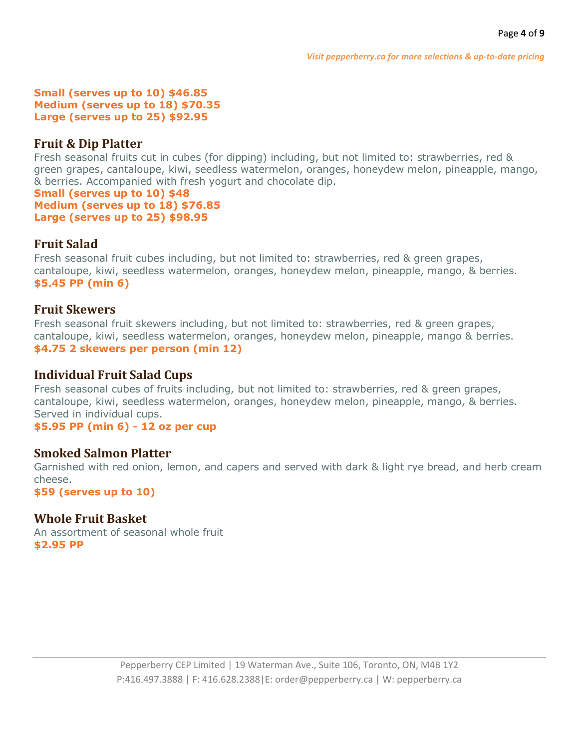#### **Small (serves up to 10) \$46.85 Medium (serves up to 18) \$70.35 Large (serves up to 25) \$92.95**

## **Fruit & Dip Platter**

Fresh seasonal fruits cut in cubes (for dipping) including, but not limited to: strawberries, red & green grapes, cantaloupe, kiwi, seedless watermelon, oranges, honeydew melon, pineapple, mango, & berries. Accompanied with fresh yogurt and chocolate dip.

**Small (serves up to 10) \$48 Medium (serves up to 18) \$76.85 Large (serves up to 25) \$98.95**

# **Fruit Salad**

Fresh seasonal fruit cubes including, but not limited to: strawberries, red & green grapes, cantaloupe, kiwi, seedless watermelon, oranges, honeydew melon, pineapple, mango, & berries. **\$5.45 PP (min 6)**

### **Fruit Skewers**

Fresh seasonal fruit skewers including, but not limited to: strawberries, red & green grapes, cantaloupe, kiwi, seedless watermelon, oranges, honeydew melon, pineapple, mango & berries. **\$4.75 2 skewers per person (min 12)**

### **Individual Fruit Salad Cups**

Fresh seasonal cubes of fruits including, but not limited to: strawberries, red & green grapes, cantaloupe, kiwi, seedless watermelon, oranges, honeydew melon, pineapple, mango, & berries. Served in individual cups.

**\$5.95 PP (min 6) - 12 oz per cup**

### **Smoked Salmon Platter**

Garnished with red onion, lemon, and capers and served with dark & light rye bread, and herb cream cheese.

**\$59 (serves up to 10)**

# **Whole Fruit Basket**

An assortment of seasonal whole fruit **\$2.95 PP**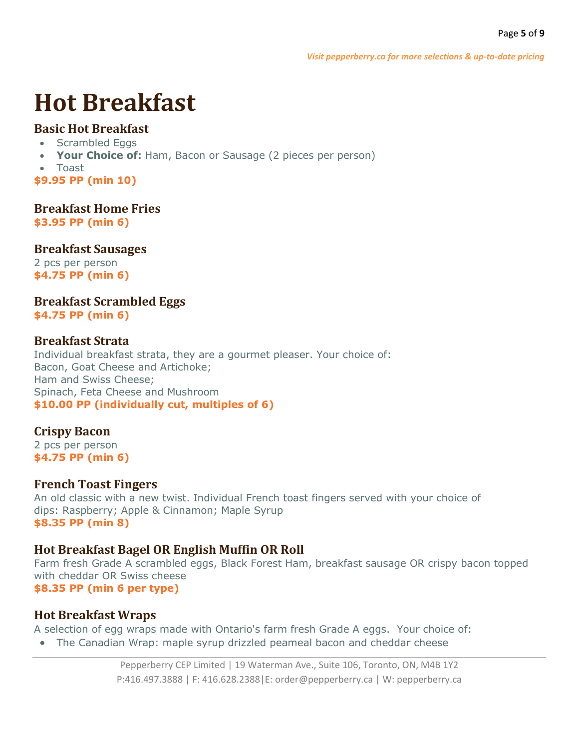# **Hot Breakfast**

# **Basic Hot Breakfast**

- Scrambled Eggs
- **Your Choice of:** Ham, Bacon or Sausage (2 pieces per person)
- Toast

**\$9.95 PP (min 10)**

**Breakfast Home Fries**

**\$3.95 PP (min 6)**

## **Breakfast Sausages**

2 pcs per person **\$4.75 PP (min 6)**

**Breakfast Scrambled Eggs \$4.75 PP (min 6)**

# **Breakfast Strata**

Individual breakfast strata, they are a gourmet pleaser. Your choice of: Bacon, Goat Cheese and Artichoke; Ham and Swiss Cheese; Spinach, Feta Cheese and Mushroom **\$10.00 PP (individually cut, multiples of 6)**

# **Crispy Bacon**

2 pcs per person **\$4.75 PP (min 6)**

# **French Toast Fingers**

An old classic with a new twist. Individual French toast fingers served with your choice of dips: Raspberry; Apple & Cinnamon; Maple Syrup **\$8.35 PP (min 8)**

# **Hot Breakfast Bagel OR English Muffin OR Roll**

Farm fresh Grade A scrambled eggs, Black Forest Ham, breakfast sausage OR crispy bacon topped with cheddar OR Swiss cheese **\$8.35 PP (min 6 per type)**

# **Hot Breakfast Wraps**

A selection of egg wraps made with Ontario's farm fresh Grade A eggs. Your choice of:

• The Canadian Wrap: maple syrup drizzled peameal bacon and cheddar cheese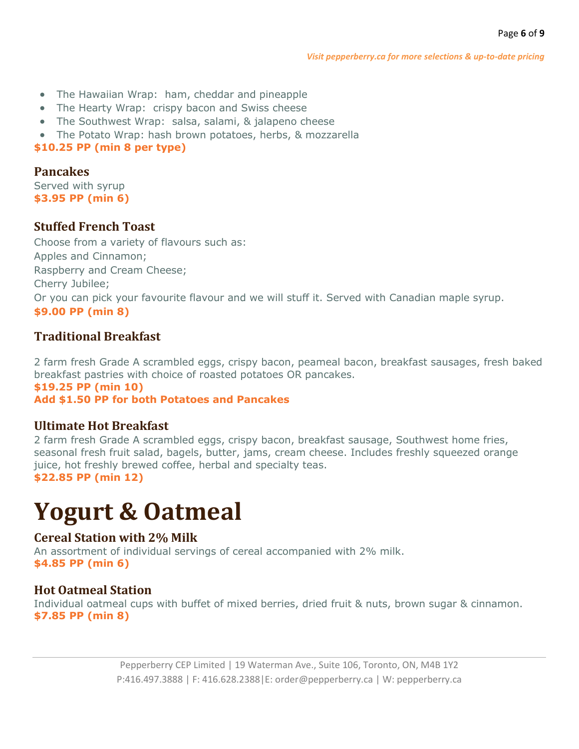- The Hawaiian Wrap: ham, cheddar and pineapple
- The Hearty Wrap: crispy bacon and Swiss cheese
- The Southwest Wrap: salsa, salami, & jalapeno cheese
- The Potato Wrap: hash brown potatoes, herbs, & mozzarella

### **\$10.25 PP (min 8 per type)**

# **Pancakes**

Served with syrup **\$3.95 PP (min 6)**

# **Stuffed French Toast**

Choose from a variety of flavours such as: Apples and Cinnamon; Raspberry and Cream Cheese; Cherry Jubilee; Or you can pick your favourite flavour and we will stuff it. Served with Canadian maple syrup. **\$9.00 PP (min 8)**

# **Traditional Breakfast**

2 farm fresh Grade A scrambled eggs, crispy bacon, peameal bacon, breakfast sausages, fresh baked breakfast pastries with choice of roasted potatoes OR pancakes.

### **\$19.25 PP (min 10)**

**Add \$1.50 PP for both Potatoes and Pancakes**

# **Ultimate Hot Breakfast**

2 farm fresh Grade A scrambled eggs, crispy bacon, breakfast sausage, Southwest home fries, seasonal fresh fruit salad, bagels, butter, jams, cream cheese. Includes freshly squeezed orange juice, hot freshly brewed coffee, herbal and specialty teas. **\$22.85 PP (min 12)**

# **Yogurt & Oatmeal**

# **Cereal Station with 2% Milk**

An assortment of individual servings of cereal accompanied with 2% milk. **\$4.85 PP (min 6)**

# **Hot Oatmeal Station**

Individual oatmeal cups with buffet of mixed berries, dried fruit & nuts, brown sugar & cinnamon. **\$7.85 PP (min 8)**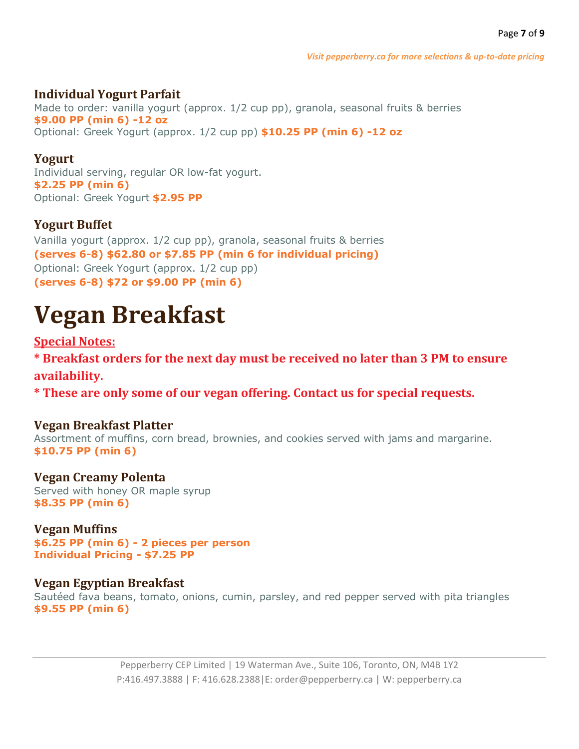# **Individual Yogurt Parfait**

Made to order: vanilla yogurt (approx. 1/2 cup pp), granola, seasonal fruits & berries **\$9.00 PP (min 6) -12 oz** Optional: Greek Yogurt (approx. 1/2 cup pp) **\$10.25 PP (min 6) -12 oz**

# **Yogurt**

Individual serving, regular OR low-fat yogurt. **\$2.25 PP (min 6)** Optional: Greek Yogurt **\$2.95 PP**

# **Yogurt Buffet**

Vanilla yogurt (approx. 1/2 cup pp), granola, seasonal fruits & berries **(serves 6-8) \$62.80 or \$7.85 PP (min 6 for individual pricing)** Optional: Greek Yogurt (approx. 1/2 cup pp) **(serves 6-8) \$72 or \$9.00 PP (min 6)**

# **Vegan Breakfast**

# **Special Notes:**

**\* Breakfast orders for the next day must be received no later than 3 PM to ensure availability.**

**\* These are only some of our vegan offering. Contact us for special requests.**

# **Vegan Breakfast Platter**

Assortment of muffins, corn bread, brownies, and cookies served with jams and margarine. **\$10.75 PP (min 6)**

# **Vegan Creamy Polenta**

Served with honey OR maple syrup **\$8.35 PP (min 6)**

# **Vegan Muffins**

**\$6.25 PP (min 6) - 2 pieces per person Individual Pricing - \$7.25 PP**

# **Vegan Egyptian Breakfast**

Sautéed fava beans, tomato, onions, cumin, parsley, and red pepper served with pita triangles **\$9.55 PP (min 6)**